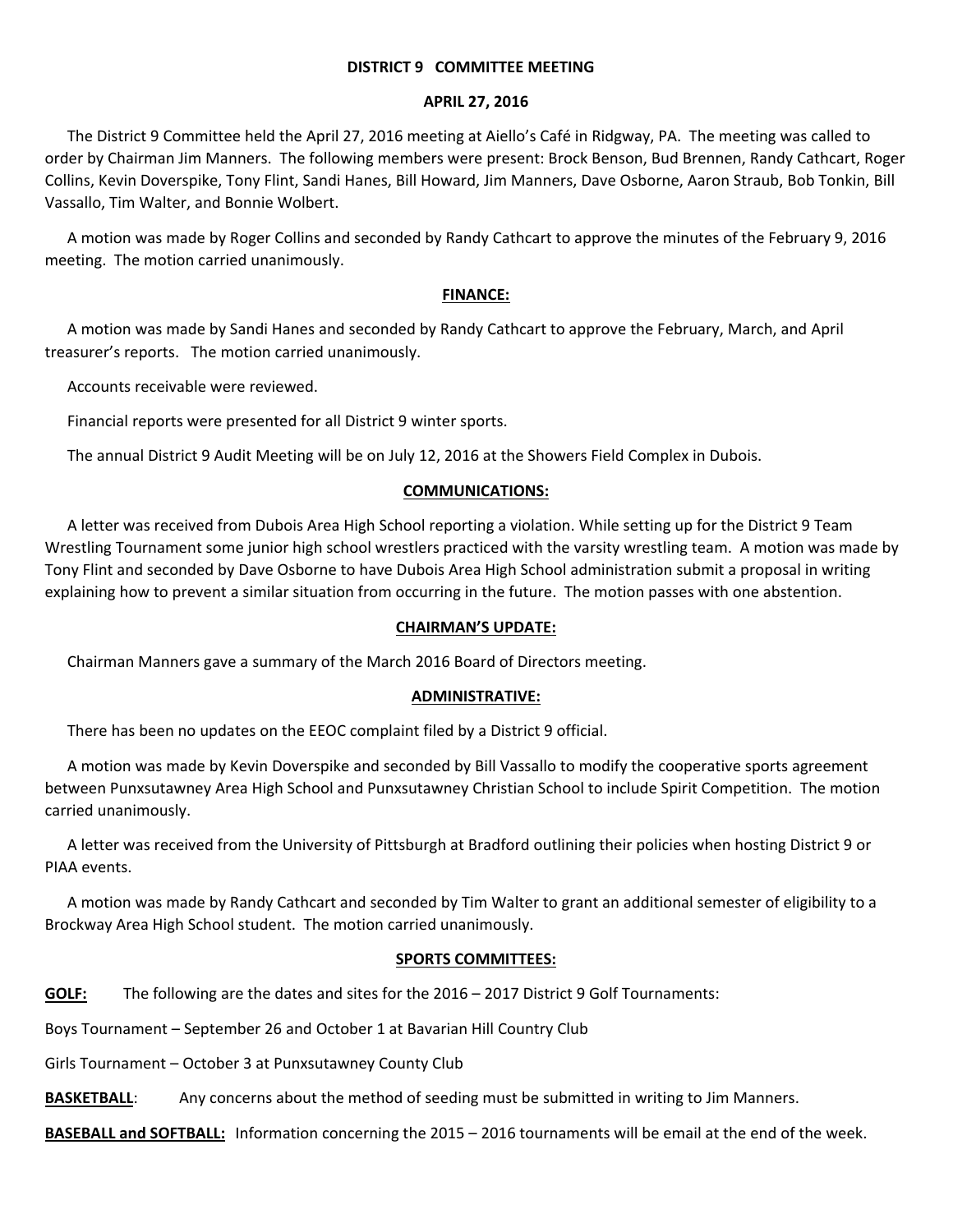### **DISTRICT 9 COMMITTEE MEETING**

#### **APRIL 27, 2016**

The District 9 Committee held the April 27, 2016 meeting at Aiello's Café in Ridgway, PA. The meeting was called to order by Chairman Jim Manners. The following members were present: Brock Benson, Bud Brennen, Randy Cathcart, Roger Collins, Kevin Doverspike, Tony Flint, Sandi Hanes, Bill Howard, Jim Manners, Dave Osborne, Aaron Straub, Bob Tonkin, Bill Vassallo, Tim Walter, and Bonnie Wolbert.

A motion was made by Roger Collins and seconded by Randy Cathcart to approve the minutes of the February 9, 2016 meeting. The motion carried unanimously.

# **FINANCE:**

A motion was made by Sandi Hanes and seconded by Randy Cathcart to approve the February, March, and April treasurer's reports. The motion carried unanimously.

Accounts receivable were reviewed.

Financial reports were presented for all District 9 winter sports.

The annual District 9 Audit Meeting will be on July 12, 2016 at the Showers Field Complex in Dubois.

### **COMMUNICATIONS:**

A letter was received from Dubois Area High School reporting a violation. While setting up for the District 9 Team Wrestling Tournament some junior high school wrestlers practiced with the varsity wrestling team. A motion was made by Tony Flint and seconded by Dave Osborne to have Dubois Area High School administration submit a proposal in writing explaining how to prevent a similar situation from occurring in the future. The motion passes with one abstention.

#### **CHAIRMAN'S UPDATE:**

Chairman Manners gave a summary of the March 2016 Board of Directors meeting.

# **ADMINISTRATIVE:**

There has been no updates on the EEOC complaint filed by a District 9 official.

A motion was made by Kevin Doverspike and seconded by Bill Vassallo to modify the cooperative sports agreement between Punxsutawney Area High School and Punxsutawney Christian School to include Spirit Competition. The motion carried unanimously.

A letter was received from the University of Pittsburgh at Bradford outlining their policies when hosting District 9 or PIAA events.

A motion was made by Randy Cathcart and seconded by Tim Walter to grant an additional semester of eligibility to a Brockway Area High School student. The motion carried unanimously.

# **SPORTS COMMITTEES:**

**GOLF:** The following are the dates and sites for the 2016 – 2017 District 9 Golf Tournaments:

Boys Tournament – September 26 and October 1 at Bavarian Hill Country Club

Girls Tournament – October 3 at Punxsutawney County Club

**BASKETBALL:** Any concerns about the method of seeding must be submitted in writing to Jim Manners.

**BASEBALL and SOFTBALL:** Information concerning the 2015 – 2016 tournaments will be email at the end of the week.